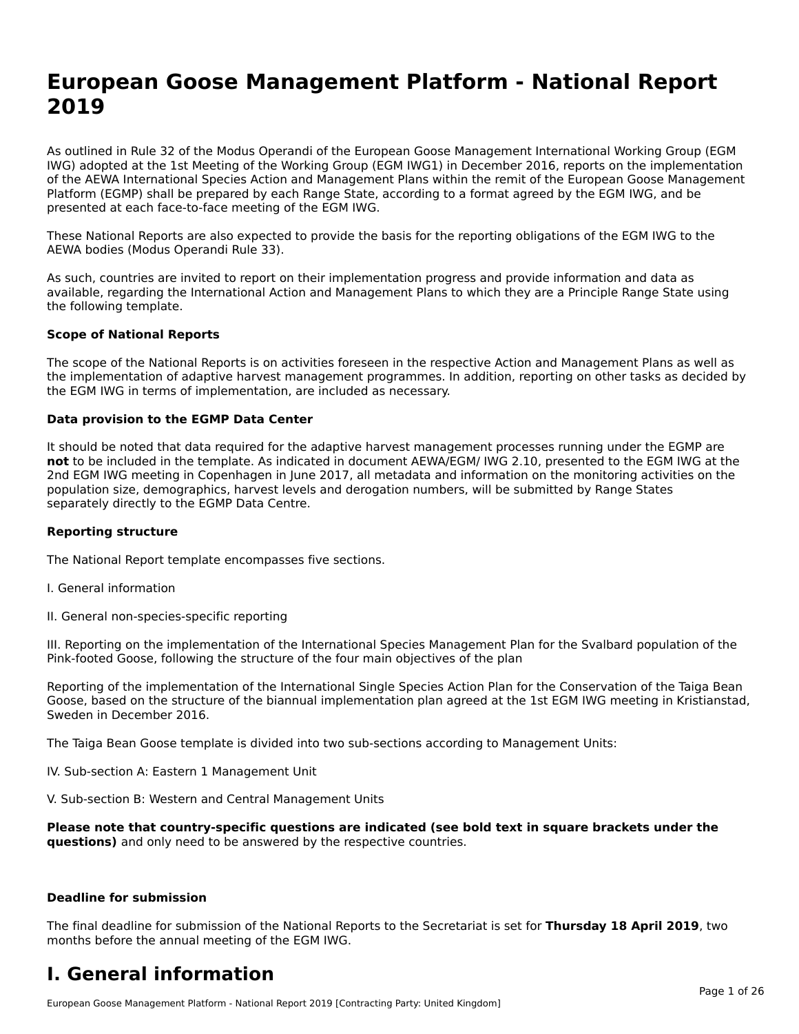# **European Goose Management Platform - National Report**European Goose Management Platform - National **Neport**<br>2010

As outlined in Rule 32 of the Modus Operandi of the European Goose Management International Working Group (EGM As buthled in Rule 32 of the Modus Operandi of the Lufopean Goose Management International Working Group (LGM<br>IWG) adopted at the 1st Meeting of the Working Group (EGM IWG1) in December 2016, reports on the implementation of the AEWA International Species Action and Management Plans within the remit of the European Goose Management Platform (EGMP) shall be prepared by each Range State, according to a format agreed by the EGM IWG, and be presented at each face-to-face meeting of the EGM IWG.

These National Reports are also expected to provide the basis for the reporting obligations of the EGM IWG to the AEWA bodies (Modus Operandi Rule 33).

As such, countries are invited to report on their implementation progress and provide information and data as<br>available, regarding the International Action and Management Plans to which they are a Principle Range State usi available, regarding the International Action and Management Plans to which they are a Principle Range State using the following template.

#### **Scope of National Reports**

The scope of the National Reports is on activities foreseen in the respective Action and Management Plans as well as The scope of the National Reports is on activities foreseen in the respective Action and Management Plans as well as<br>the implementation of adaptive harvest management programmes. In addition, reporting on other tasks as de the EGM IWG in terms of implementation, are included as necessary.

#### **Data provision to the EGMP Data Center**

It should be noted that data required for the adaptive harvest management processes running under the EGMP are **not** to be included in the template. As indicated in document AEWA/EGM/ IWG 2.10, presented to the EGM IWG at the 2nd EGM IWG meeting in Copenhagen in June 2017, all metadata and information on the monitoring activities on the population size, demographics, harvest levels and derogation numbers, will be submitted by Range States separately directly to the EGMP Data Centre.

#### **Reporting structure**

The National Report template encompasses five sections.

- I. General information
- II. General non-species-specific reporting

III. Reporting on the implementation of the International Species Management Plan for the Svalbard population of the

Reporting of the implementation of the International Single Species Action Plan for the Conservation of the Taiga Bean Reporting of the implementation of the international single species Action Fram for the conservation of the laiga beam<br>Goose, based on the structure of the biannual implementation plan agreed at the 1st EGM IWG meeting in

The Taiga Bean Goose template is divided into two sub-sections according to Management Units:

IV. Sub-section A: Eastern 1 Management Unit

V. Sub-section B: Western and Central Management Units

Please note that country-specific questions are indicated (see bold text in square brackets under the **questions)** and only need to be answered by the respective countries.

#### **Deadline for submission**

The final deadline for submission of the National Reports to the Secretariat is set for **Thursday 18 April 2019**, two months before the annual meeting of the EGM IWG.

#### **I. General information**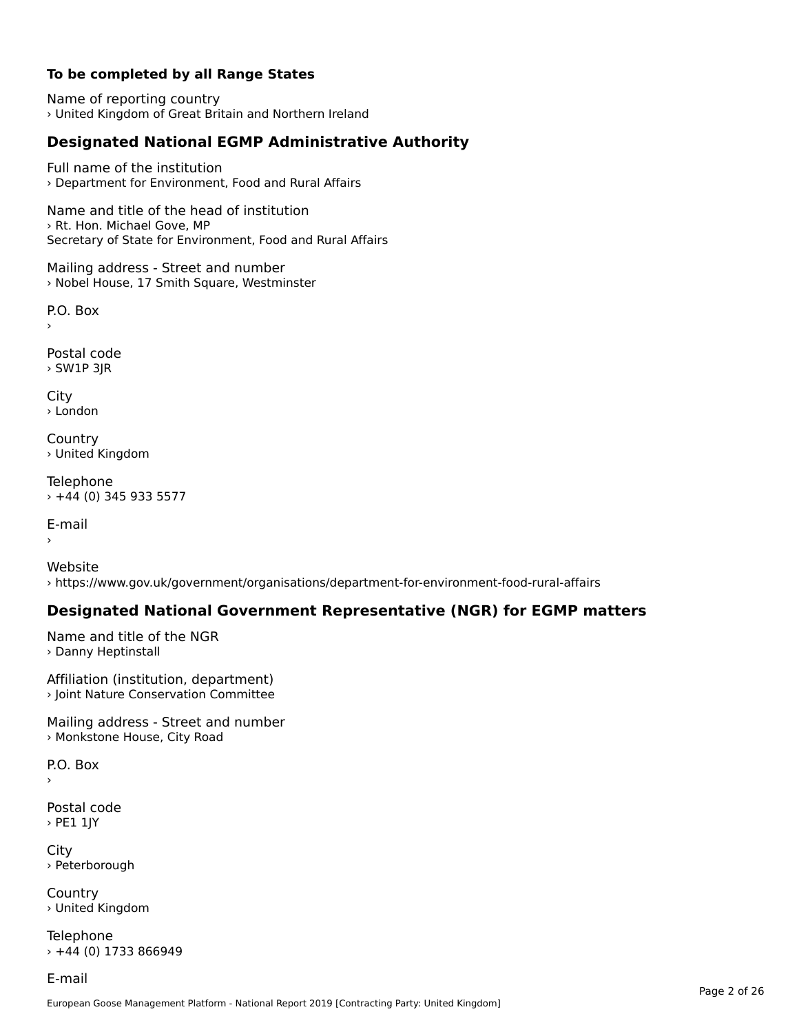### **To be completed by all Range States**

Name of reporting country › United Kingdom of Great Britain and Northern Ireland

# **Designated National EGMP Administrative Authority**

Full name of the institution› Department for Environment, Food and Rural Affairs

Name and title of the head of institution› Rt. Hon. Michael Gove, MPSecretary of State for Environment, Food and Rural Affairs

Mailing address - Street and number › Nobel House, 17 Smith Square, Westminster

 $\overline{P}$ ›

Postal code › SW1P 3JR

City › London

**Country** › United Kingdom

Telephone › +44 (0) 345 933 5577

E-mail›

Website› https://www.gov.uk/government/organisations/department-for-environment-food-rural-affairs

## **Designated National Government Representative (NGR) for EGMP matters**

Name and title of the NGR › Danny Heptinstall

Affiliation (institution, department) › Joint Nature Conservation Committee

Mailing address - Street and number › Monkstone House, City Road

 $\overline{P}$ ›

Postal code › PE1 1JY

**City** › Peterborough

**Country** › United Kingdom

Telephone  $\times$  +44 (0) 1733 866949

E-mail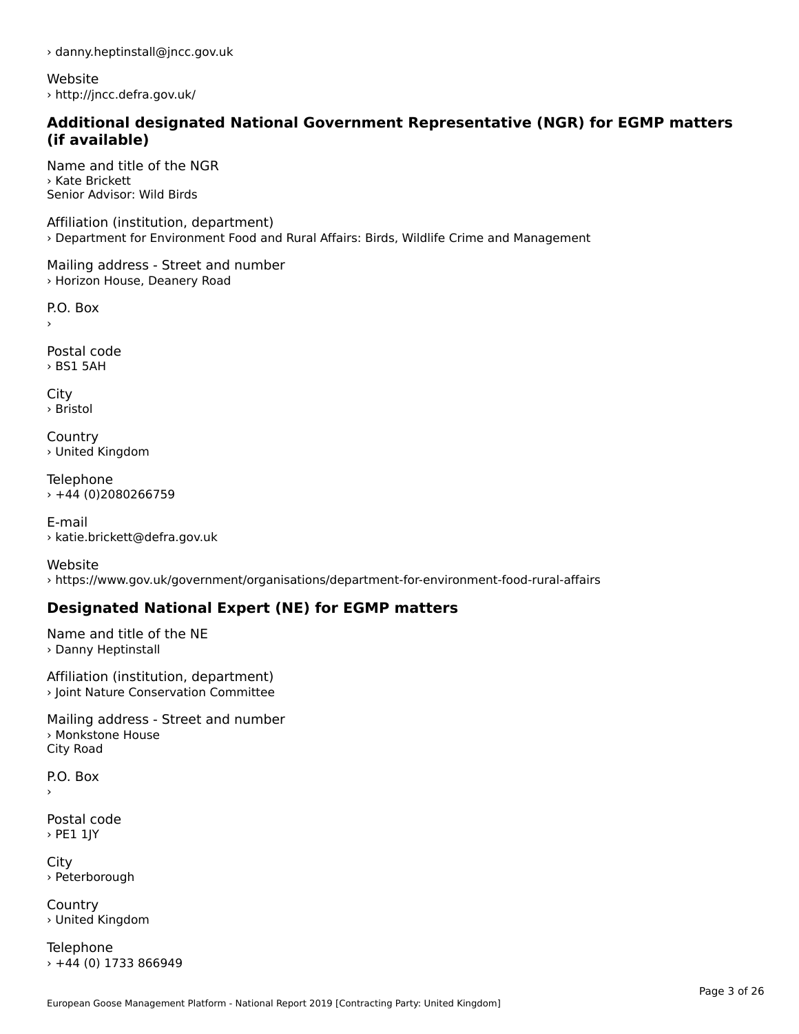› danny.heptinstall@jncc.gov.uk

Website › http://jncc.defra.gov.uk/

#### **Additional designated National Government Representative (NGR) for EGMP matters (if available)**

Name and title of the NGR› Kate BrickettSenior Advisor: Wild Birds

Affiliation (institution, department) › Department for Environment Food and Rural Affairs: Birds, Wildlife Crime and Management

Mailing address - Street and number › Horizon House, Deanery Road

P.O. Box

›

Postal code› BS1 5AH

City › Bristol

**Country** › United Kingdom

Telephone › +44 (0)2080266759

E-mail› katie.brickett@defra.gov.uk

Website› https://www.gov.uk/government/organisations/department-for-environment-food-rural-affairs

# **Designated National Expert (NE) for EGMP matters**

Name and title of the NE› Danny Heptinstall

Affiliation (institution, department) › Joint Nature Conservation Committee

Mailing address - Street and number › Monkstone House City Road

 $\overline{P}$ ›

Postal code › PE1 1JY

City › Peterborough

**Country** › United Kingdom

Telephone › +44 (0) 1733 866949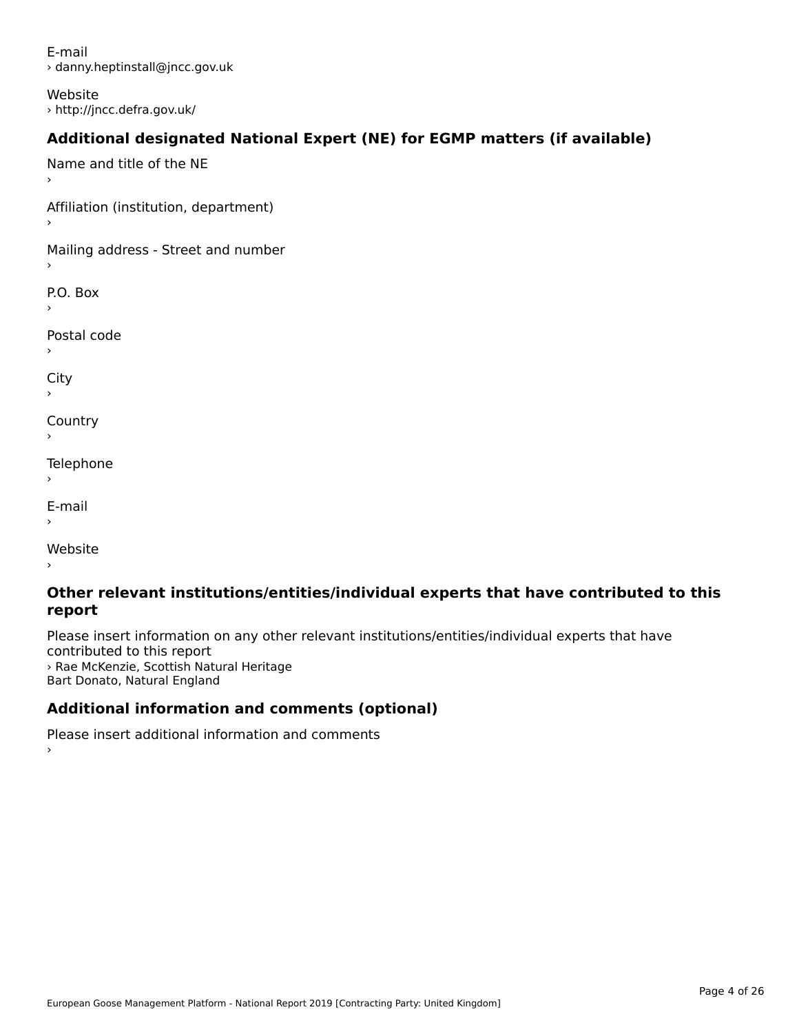E-mail› danny.heptinstall@jncc.gov.uk

Website › http://jncc.defra.gov.uk/

# **Additional designated National Expert (NE) for EGMP matters (if available)**

Name and title of the NE›Affiliation (institution, department) Mailing address - Street and number P.O. Box Postal code›City **Country** Telephone ›E-mail›Website›

#### **Other relevant institutions/entities/individual experts that have contributed to this report**report

Please insert information on any other relevant institutions/entities/individual experts that have contributed to this report › Rae McKenzie, Scottish Natural Heritage *A* Nae McKenzie, Scottish Natu<br>Bart Donato, Natural England

# **Additional information and comments (optional)**

Please insert additional information and comments ›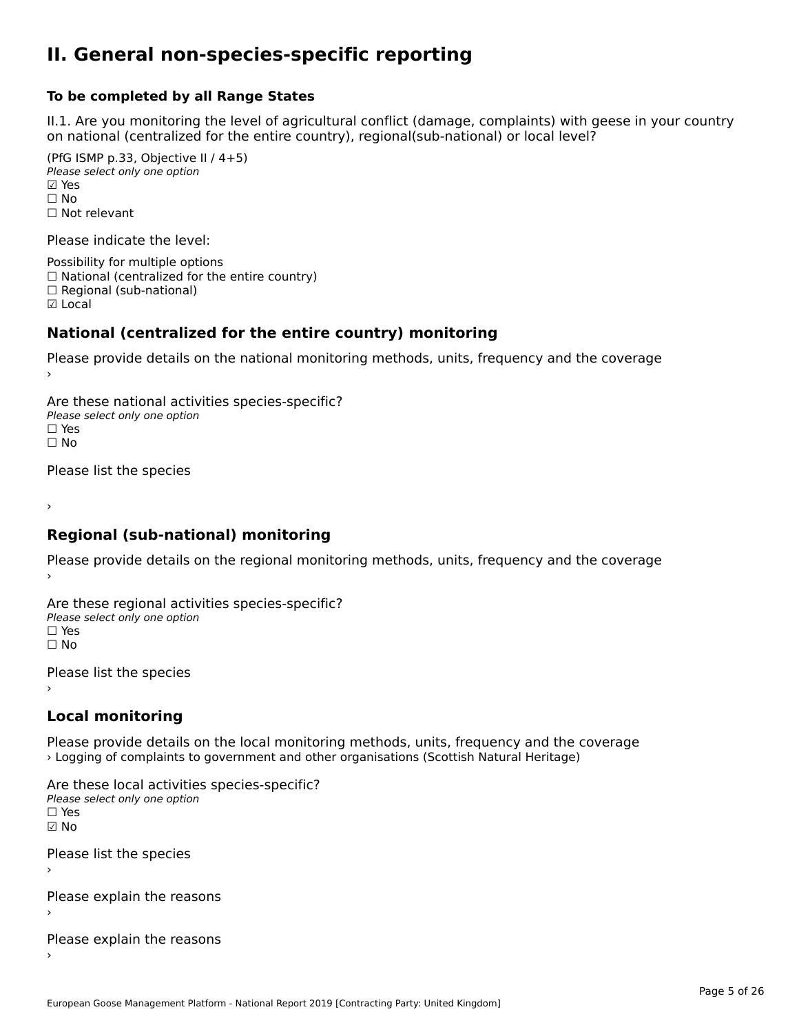#### **II. General non-species-specific reporting**

#### **To be completed by all Range States**

II.1. Are you monitoring the level of agricultural conflict (damage, complaints) with geese in your country n.i. Are you monitoring the lever or agricultural connict (damage, complaints) with g<br>on national (centralized for the entire country), regional(sub-national) or local level?

(PfG ISMP p.33, Objective II  $(4+5)$ ) Please select only one option ☑ Yes**☑ Yes**<br>□ No □ No<br>□ Not relevant

Please indicate the level:

Possibility for multiple options  $\Box$  National (centralized for the entire country)  $\Box$  Regional (sub-national) ☑ Local

#### **National (centralized for the entire country) monitoring**

Please provide details on the national monitoring methods, units, frequency and the coverage

Are these national activities species-specific? ∩ne enese national activity<br>Please select only one option ים וכ<br>⊡ No

Please list the species

›

#### **Regional (sub-national) monitoring**

Please provide details on the regional monitoring methods, units, frequency and the coverage

Are these regional activities species-specific? ∩ne these regional activ<br>Please select only one option □ Yes<br>□ No

Please list the species ›

#### **Local monitoring**

Please provide details on the local monitoring methods, units, frequency and the coverage › Logging of complaints to government and other organisations (Scottish Natural Heritage)

Are these local activities species-specific? Please select only one optionriease<br>□ Yes ☑ NoPlease list the species ›

Please explain the reasons

Please explain the reasons ›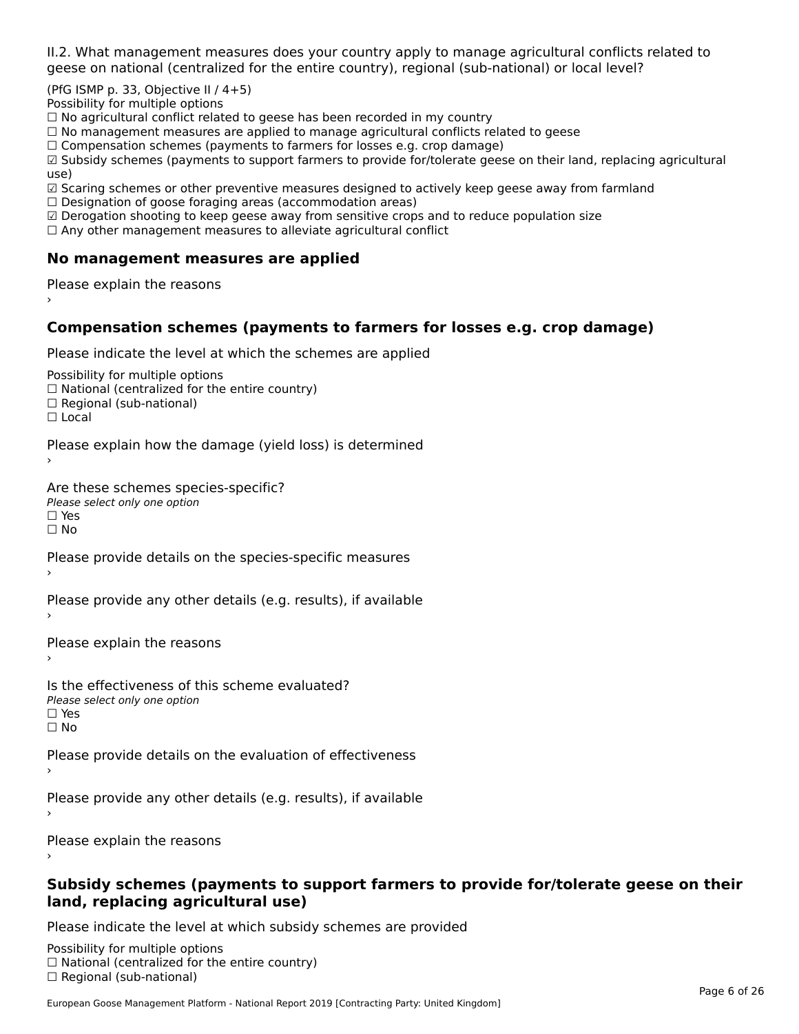II.2. What management measures does your country apply to manage agricultural conflicts related to

(PfG ISMP p. 33, Objective II  $/$  4+5)

Possibility for multiple options

™assionicy for maltiple options<br>□ No agricultural conflict related to geese has been recorded in my country

 $\Box$  No management measures are applied to manage agricultural conflicts related to geese

□ No management measures are applied to manage agricultural connicts rela<br>□ Compensation schemes (payments to farmers for losses e.g. crop damage)

□ Compensation schemes (payments to farmers for losses e.g. crop damage)<br>□ Subsidy schemes (payments to support farmers to provide for/tolerate geese on their land, replacing agricultural use)

use)<br>☑ Scaring schemes or other preventive measures designed to actively keep geese away from farmland

 $\Box$  Designation of goose foraging areas (accommodation areas)

□ Designation or goose foraging areas (accommodation areas)<br>□ Derogation shooting to keep geese away from sensitive crops and to reduce population size

 $\Box$  Any other management measures to alleviate agricultural conflict

### **No management measures are applied**

Please explain the reasons ›

# **Compensation schemes (payments to farmers for losses e.g. crop damage)**

Please indicate the level at which the schemes are applied

Possibility for multiple options rossibility for multiple options<br>□ National (centralized for the entire country) □ National (centralized io<br>□ Regional (sub-national)

☐ Local

Please explain how the damage (yield loss) is determined

Are these schemes species-specific?∩ne these senemes spe<br>Please select only one option □ Yes<br>□ No

Please provide details on the species-specific measures

Please provide any other details (e.g. results), if available

Please explain the reasons

Is the effectiveness of this scheme evaluated?Please select only one option☐ Yes☐ No

Please provide details on the evaluation of effectiveness

Please provide any other details (e.g. results), if available

Please explain the reasons

#### **Subsidy schemes (payments to support farmers to provide for/tolerate geese on their land, replacing agricultural use)**

Please indicate the level at which subsidy schemes are provided

Possibility for multiple options гозывниу тог нингріе орноть<br>□ National (centralized for the entire country)  $\Box$  Regional (sub-national)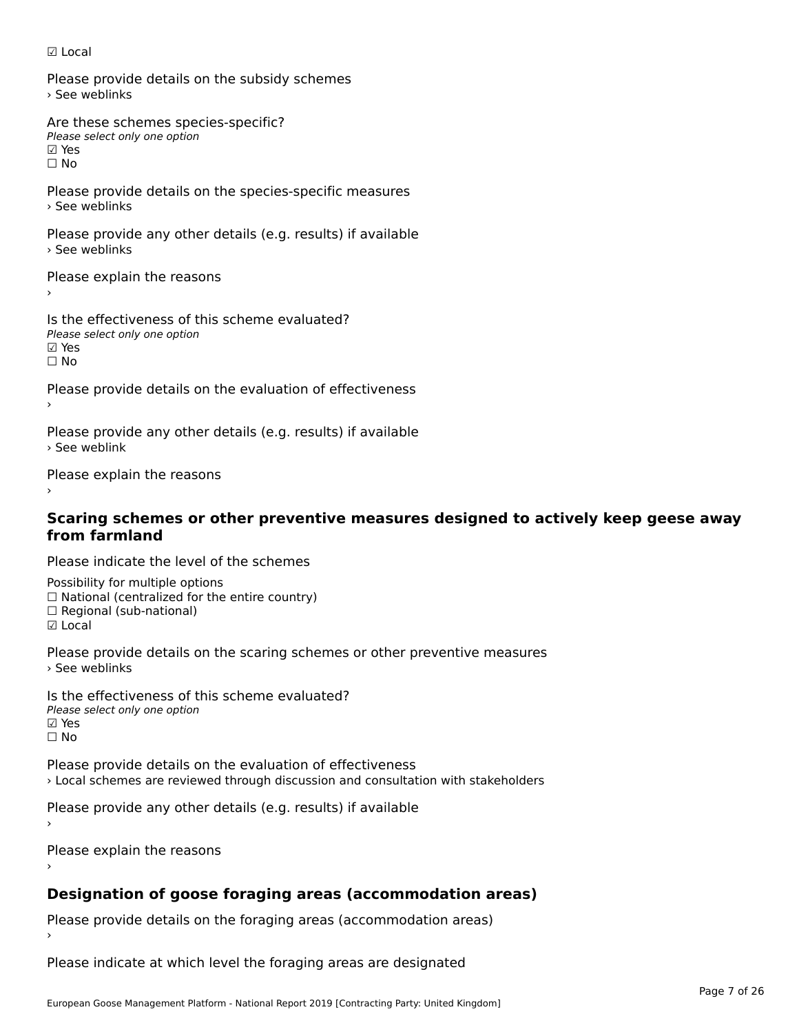#### ☑ Local

Please provide details on the subsidy schemes › See weblinks

Are these schemes species-specific?∧e chese senemes spee<br>Please select only one option ⊠ Yes<br>□ No

Please provide details on the species-specific measures › See weblinks

Please provide any other details (e.g. results) if available › See weblinks

Please explain the reasons

Is the effectiveness of this scheme evaluated? □ CHECONCHESS OF C<br>Please select only one option ☐ No

Please provide details on the evaluation of effectiveness

Please provide any other details (e.g. results) if available › See weblink

Please explain the reasons

# **Scaring schemes or other preventive measures designed to actively keep geese away from farmland**

Please indicate the level of the schemes

Possibility for multiple options ™assibility for multiple options<br>□ National (centralized for the entire country) □ National (centralized io<br>□ Regional (sub-national) ☑ Local

Please provide details on the scaring schemes or other preventive measures › See weblinks

Is the effectiveness of this scheme evaluated?Please select only one option ☑ Yes☐ No

Please provide details on the evaluation of effectiveness› Local schemes are reviewed through discussion and consultation with stakeholders

Please provide any other details (e.g. results) if available

Please explain the reasons

# **Designation of goose foraging areas (accommodation areas)**

Please provide details on the foraging areas (accommodation areas)

Please indicate at which level the foraging areas are designated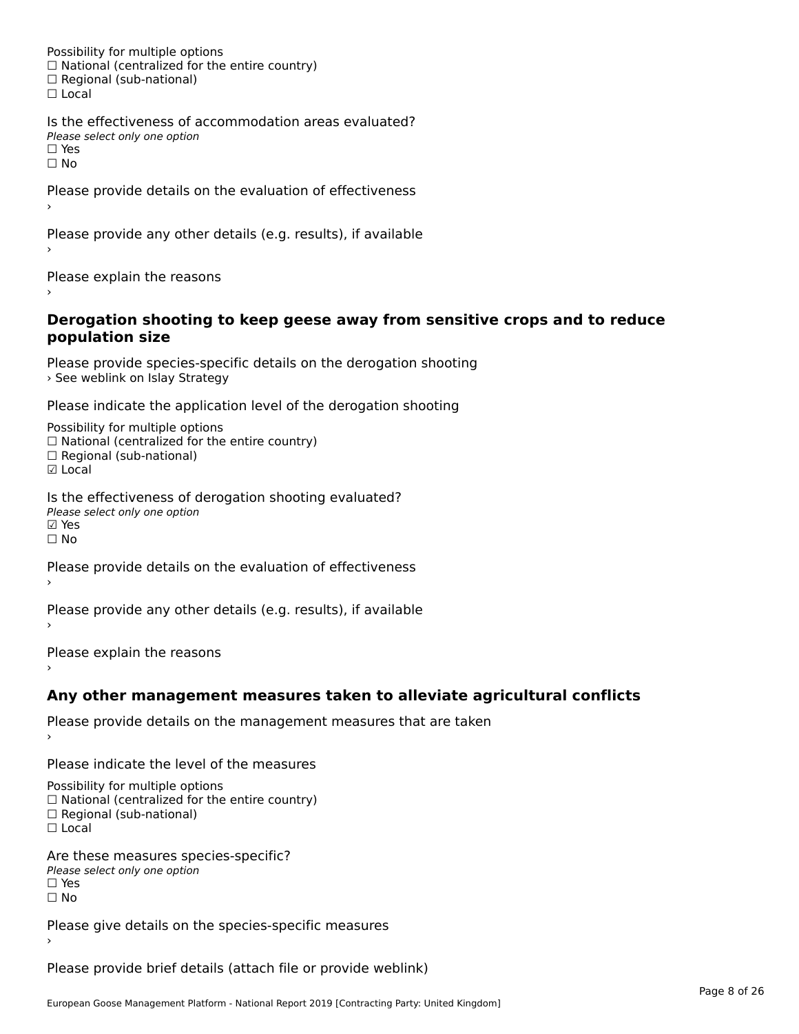Possibility for multiple options rossibility for multiple options<br>□ National (centralized for the entire country) □ National (centralized io<br>□ Regional (sub-national) ☐ Local

Is the effectiveness of accommodation areas evaluated?□ CILCCCCVCIC55 OF Q<br>Please select only one option  $\square$  Yes ☐ No

Please provide details on the evaluation of effectiveness

Please provide any other details (e.g. results), if available

Please explain the reasons

#### **Derogation shooting to keep geese away from sensitive crops and to reduce population size**population size

Please provide species-specific details on the derogation shooting *See weblink on Islay Strategy* > See weblink on Islay Strategy

Please indicate the application level of the derogation shooting

Possibility for multiple options rossibility for multiple options<br>□ National (centralized for the entire country) □ National (centralized io<br>□ Regional (sub-national)

☑ Local

Is the effectiveness of derogation shooting evaluated? Please select only one option riease<br>☑ Yes ☐ No

Please provide details on the evaluation of effectiveness

Please provide any other details (e.g. results), if available

Please explain the reasons

### **Any other management measures taken to alleviate agricultural conflicts**

Please provide details on the management measures that are taken

Please indicate the level of the measures

Possibility for multiple options rossibility for multiple options<br>□ National (centralized for the entire country) □ National (centralized io<br>□ Regional (sub-national)

☐ Local

Are these measures species-specific? ric criese measures spe<br>Please select only one option *riease*<br>□ Yes ☐ No

Please give details on the species-specific measures

Please provide brief details (attach file or provide weblink)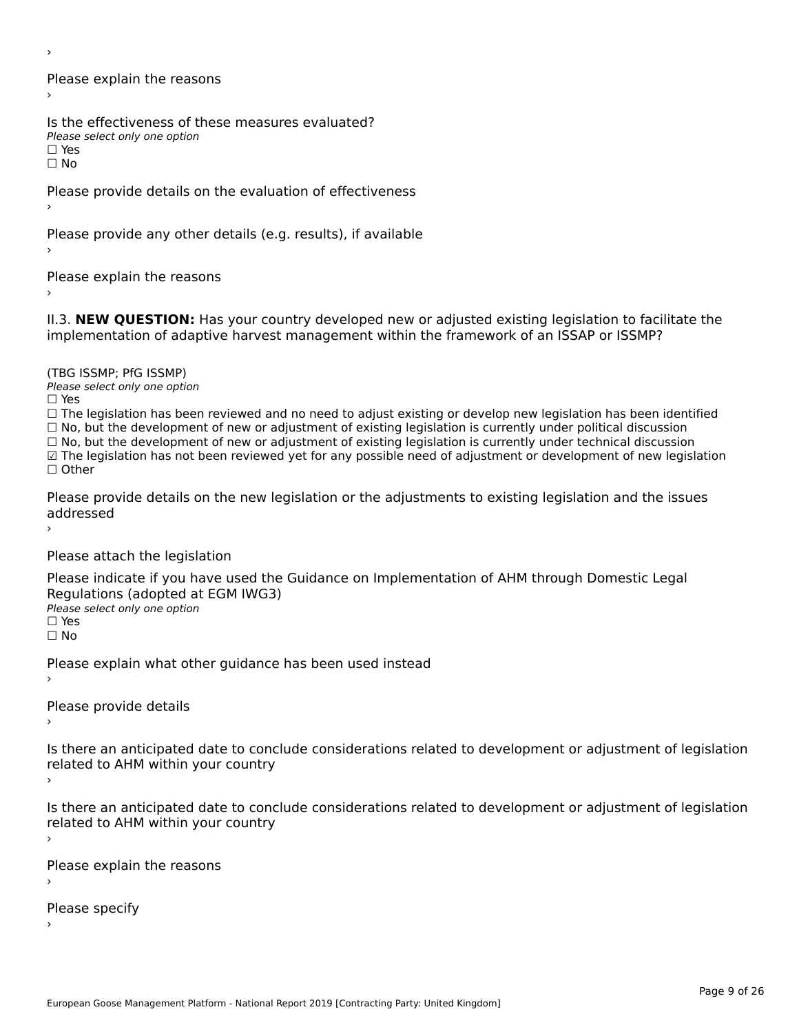›

Please explain the reasons›

Is the effectiveness of these measures evaluated? Please select only one option

☐ Yes

ים וכ∍<br>⊡ No

Please provide details on the evaluation of effectiveness

Please provide any other details (e.g. results), if available

Please explain the reasons

II.3. **NEW QUESTION:** Has your country developed new or adjusted existing legislation to facilitate the

(TBG ISSMP; PfG ISSMP)

Please select only one option ☐ Yes

☐ The legislation has been reviewed and no need to adjust existing or develop new legislation has been identified  $\Box$  The regislation has been reviewed and no need to adjust existing or develop hew regislation has been identify and  $\Box$  No, but the development of new or adjustment of existing legislation is currently under political

□ No, but the development of new or adjustment of existing legislation is currently under political discussion<br>□ No, but the development of new or adjustment of existing legislation is currently under technical discussion

☑ The legislation has not been reviewed yet for any possible need of adjustment or development of new legislation

☐ Other

Please provide details on the new legislation or the adjustments to existing legislation and the issues addressed

Please attach the legislation

Please indicate if you have used the Guidance on Implementation of AHM through Domestic Legal Piease indicate if you have used the<br>Regulations (adopted at EGM IWG3) Please select only one option ☐ Yes

☐ No

Please explain what other guidance has been used instead

Please provide details›

Is there an anticipated date to conclude considerations related to development or adjustment of legislation

- Proced to Arm within your country
- 

Is there an anticipated date to conclude considerations related to development or adjustment of legislation is there are anticrpated date to control<br>related to AHM within your country

Please explain the reasons

Please specify›

European Goose Management Platform - National Report 2019 [Contracting Party: United Kingdom]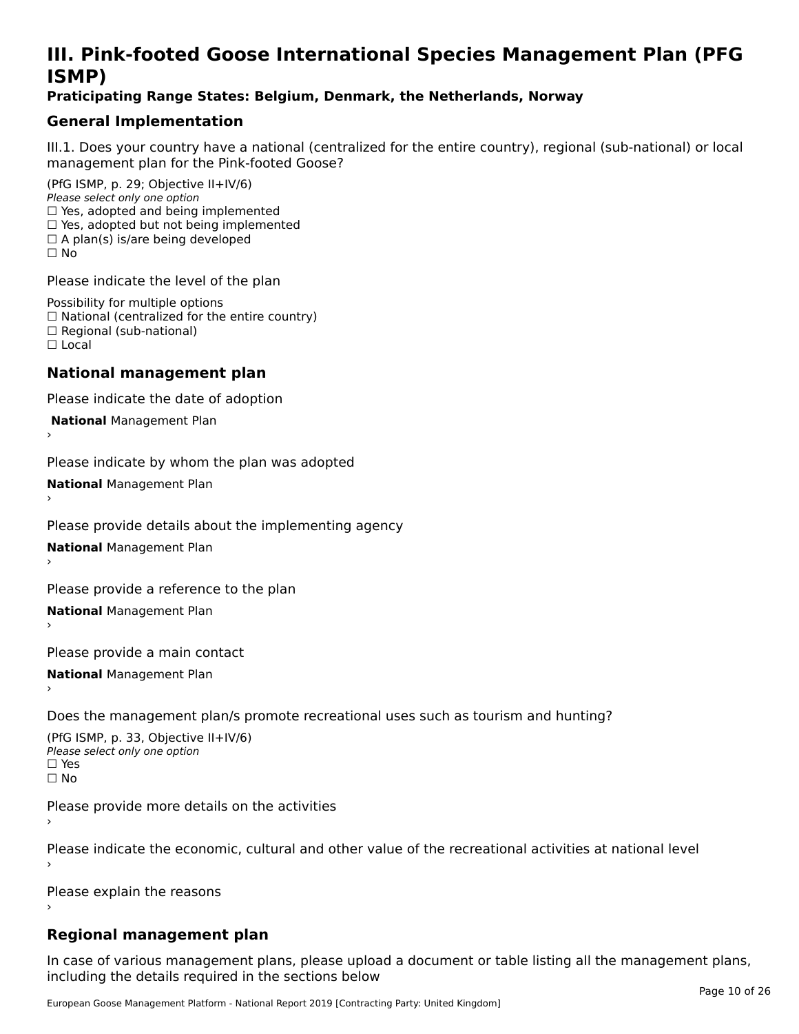# **III. Pink-footed Goose International Species Management Plan (PFG**III. FIIIN-IUULEU GUUSE IIILEI II**atiunai Species Management Fian (FTG**<br>ISMD)

#### **Praticipating Range States: Belgium, Denmark, the Netherlands, Norway**

# **General Implementation**

III.1. Does your country have a national (centralized for the entire country), regional (sub-national) or local

(PfG ISMP, p. 29; Objective II+IV/6) Please select only one option *riease select only one option*<br>□ Yes, adopted and being implemented  $\Box$  ies, adopted and being implemented<br> $\Box$  Yes, adopted but not being implemented  $\Box$  A plan(s) is/are being developed ☐ No

Please indicate the level of the plan

Possibility for multiple options rossibility for multiple options<br>□ National (centralized for the entire country) □ National (centralized io<br>□ Regional (sub-national) ☐ Local

#### **National management plan**

Please indicate the date of adoption

 **National** Management Plan

›

Please indicate by whom the plan was adopted

**National** Management Plan ›

Please provide details about the implementing agency

**National** Management Plan ›

Please provide a reference to the plan

**National** Management Plan ›

Please provide a main contact

**National** Management Plan ›

Does the management plan/s promote recreational uses such as tourism and hunting?

(PfG ISMP, p. 33, Objective II+IV/6) Please select only one optionPlease select only one option  $\square$  Yes ☐ No

Please provide more details on the activities

Please indicate the economic, cultural and other value of the recreational activities at national level

Please explain the reasons

### **Regional management plan**

In case of various management plans, please upload a document or table listing all the management plans, $\frac{1}{2}$  case of various management plans, please uploa including the details required in the sections below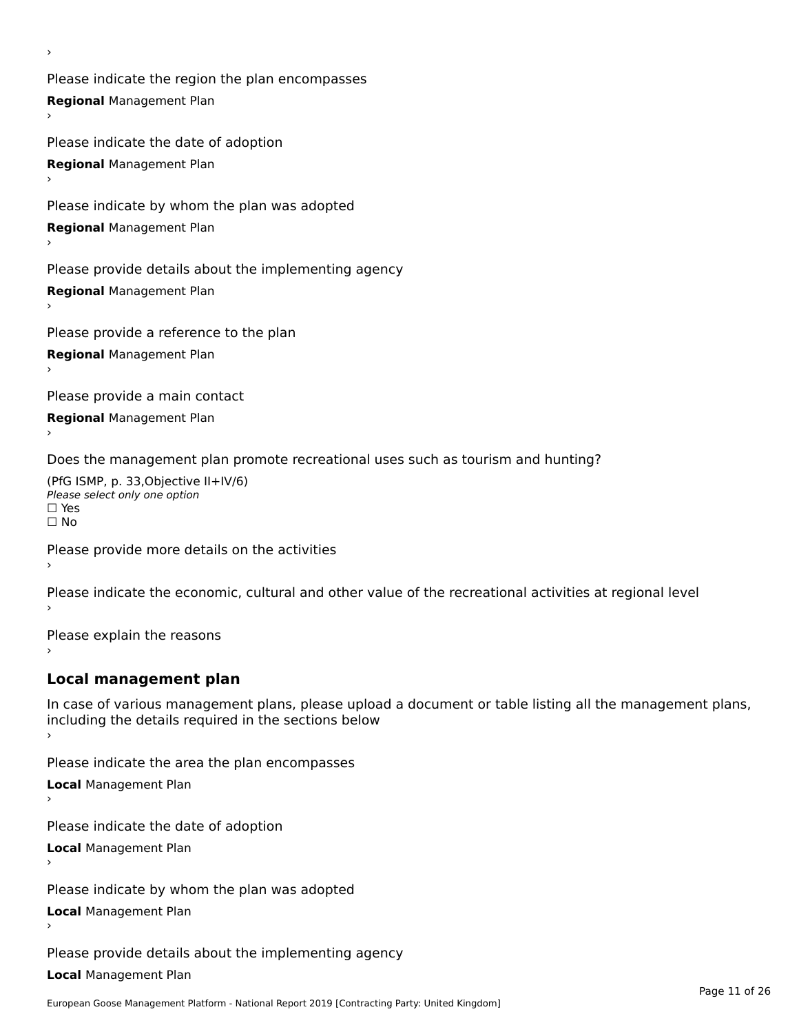Please indicate the region the plan encompasses **Regional** Management Plan

Please indicate the date of adoption **Regional** Management Plan ›

Please indicate by whom the plan was adopted

**Regional** Management Plan

›

Please provide details about the implementing agency

**Regional** Management Plan

Please provide a reference to the plan

**Regional** Management Plan

Please provide a main contact

**Regional** Management Plan

Does the management plan promote recreational uses such as tourism and hunting?

(PfG ISMP, p. 33,Objective II+IV/6) ∩∩ וויוכו פון<br>Please select only one option<br>□ Yes □ Yes<br>□ No

Please provide more details on the activities

Please indicate the economic, cultural and other value of the recreational activities at regional level

Please explain the reasons ›

## **Local management plan**

In case of various management plans, please upload a document or table listing all the management plans, In case of various management plans, please uploa<br>including the details required in the sections below

Please indicate the area the plan encompasses

**Local** Management Plan

Please indicate the date of adoption

**Local** Management Plan›

Please indicate by whom the plan was adopted

**Local** Management Plan

Please provide details about the implementing agency

**Local** Management Plan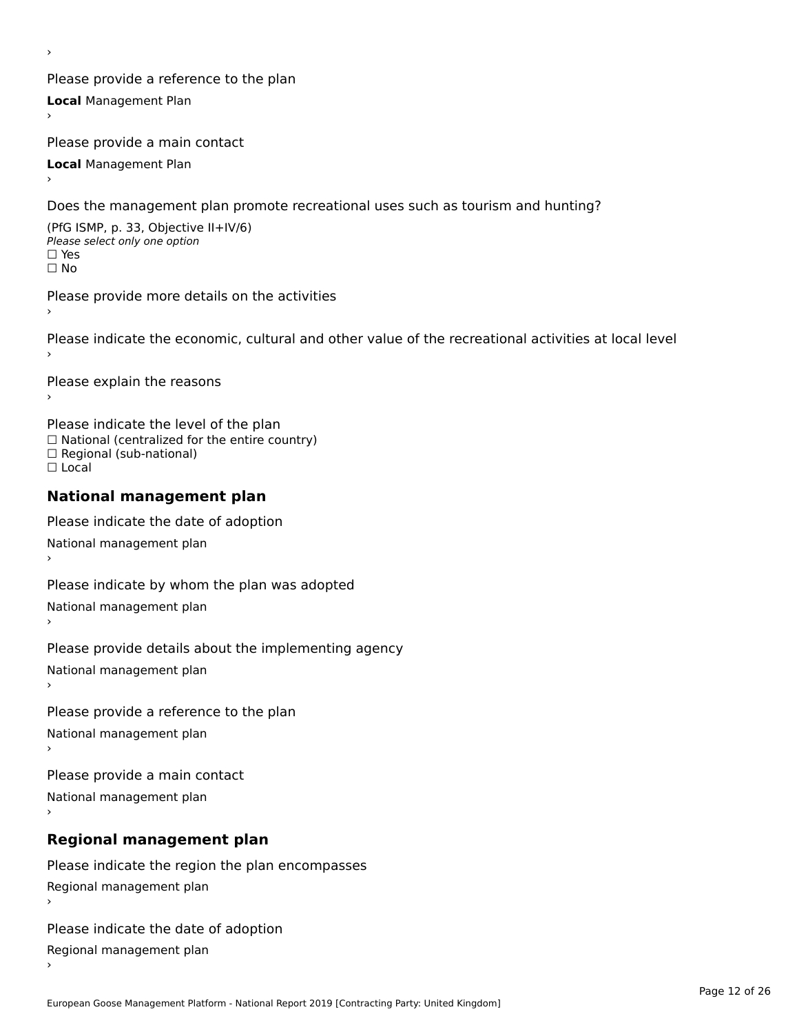Please provide a reference to the plan **Local** Management Plan

Please provide a main contact

**Local** Management Plan

›

Does the management plan promote recreational uses such as tourism and hunting?

(PfG ISMP, p. 33, Objective II+IV/6) Please select only one option☐ Yes☐ No

Please provide more details on the activities›

Please indicate the economic, cultural and other value of the recreational activities at local level

Please explain the reasons ›

Please indicate the level of the plan ∩ease marcate the lever of the plan<br>□ National (centralized for the entire country) □ National (centralized io<br>□ Regional (sub-national) ☐ Local

#### **National management plan**

Please indicate the date of adoption National management plan

Please indicate by whom the plan was adopted National management plan ›

Please provide details about the implementing agency

National management plan

Please provide a reference to the plan

National management plan

Please provide a main contact

National management plan

# **Regional management plan**

Please indicate the region the plan encompasses Regional management plan

Please indicate the date of adoption

Regional management plan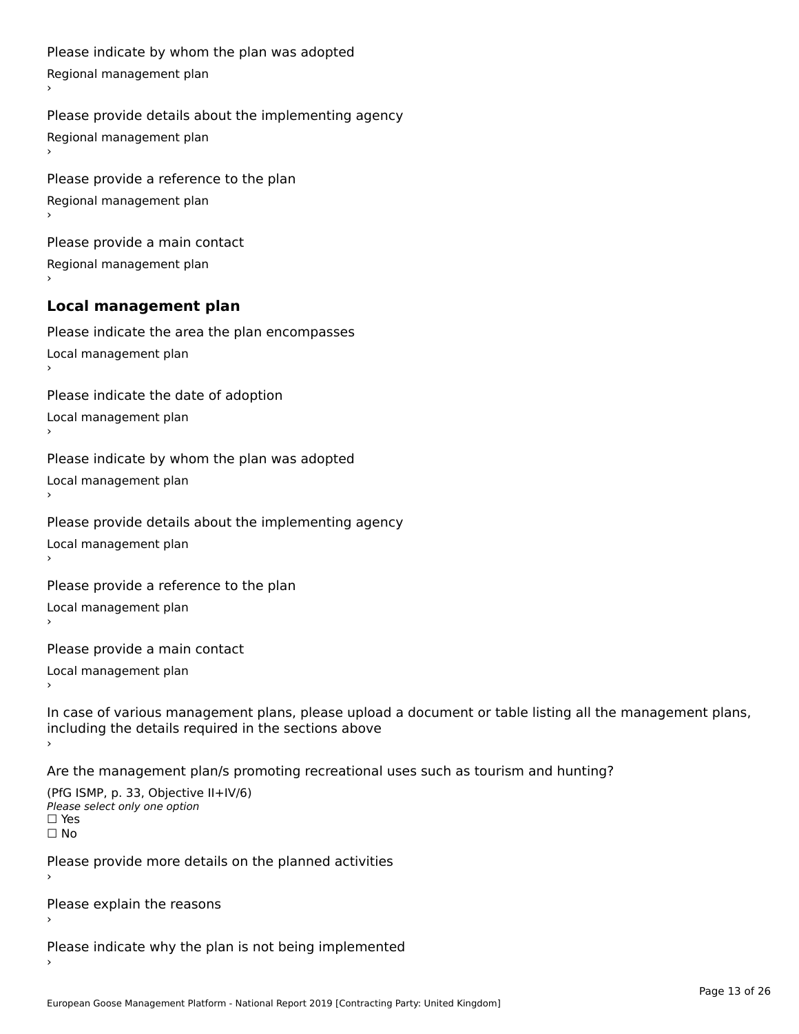```
Please indicate by whom the plan was adopted Regional management plan
Please provide details about the implementing agency Regional management plan
Please provide a reference to the plan Regional management plan
Please provide a main contact Regional management plan
Local management plan
Please indicate the area the plan encompasses Local management plan›Please indicate the date of adoption Local management plan١,
Please indicate by whom the plan was adopted Local management plan›Please provide details about the implementing agency Local management plan١,
Please provide a reference to the plan Local management plan›Please provide a main contact Local management plan١,
In case of various management plans, please upload a document or table listing all the management plans,in case or various management plans, please upload
including the details required in the sections above
```
Are the management plan/s promoting recreational uses such as tourism and hunting?

```
(PfG ISMP, p. 33, Objective II+IV/6)
Please select only one option☐ Yes☐ No
```
Please provide more details on the planned activities

Please explain the reasons›

Please indicate why the plan is not being implemented›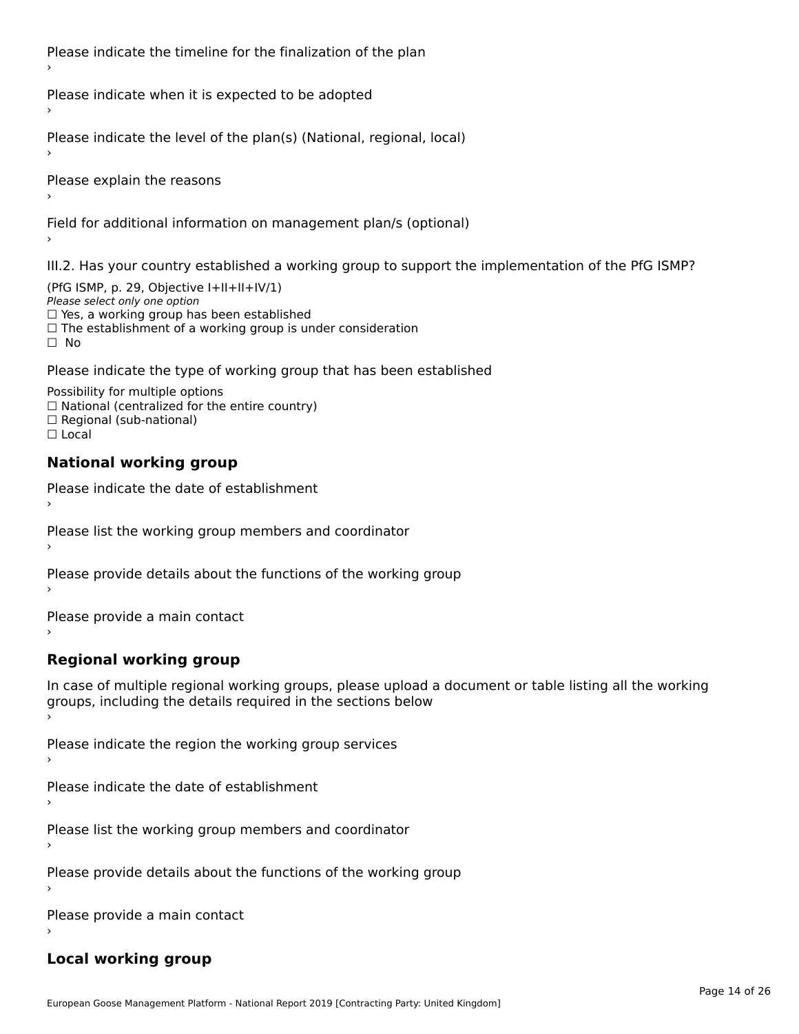Please indicate the timeline for the finalization of the plan

Please indicate when it is expected to be adopted

Please indicate the level of the plan(s) (National, regional, local)

Please explain the reasons

Field for additional information on management plan/s (optional)

III.2. Has your country established a working group to support the implementation of the PfG ISMP?

(PfG ISMP, p. 29, Objective I+II+II+IV/1)Please select only one option □ Yes, a working group has been established □ Tes, a working group has been established<br>□ The establishment of a working group is under consideration

Please indicate the type of working group that has been established

Possibility for multiple options ™assibility for multiple options<br>□ National (centralized for the entire country) □ National (centralized io<br>□ Regional (sub-national)  $\Box$  Local

#### **National working group**

›

Please indicate the date of establishment

Please list the working group members and coordinator ›

Please provide details about the functions of the working group ›

Please provide a main contact ›

**Regional working group**

In case of multiple regional working groups, please upload a document or table listing all the working In case of multiple regional working groups, please upload a<br>groups, including the details required in the sections below

Please indicate the region the working group services ›

Please indicate the date of establishment ›

Please list the working group members and coordinator ›

Please provide details about the functions of the working group ›

Please provide a main contact ›

### **Local working group**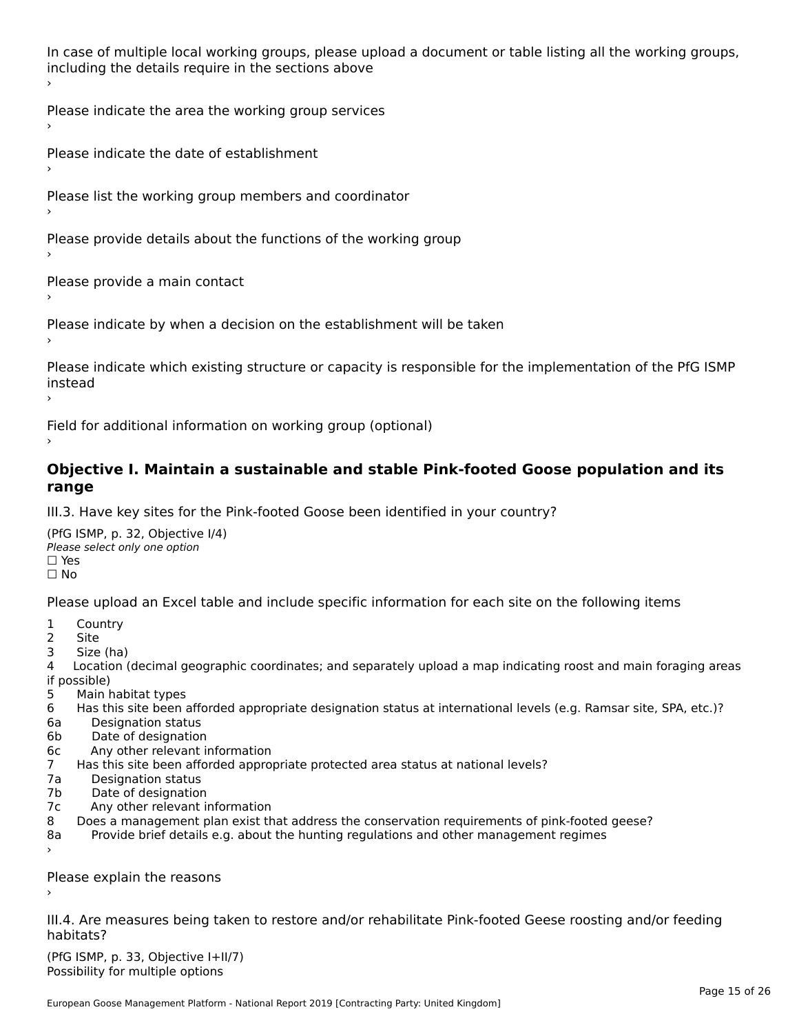In case of multiple local working groups, please upload a document or table listing all the working groups, in case of multiple local working groups, please up ›

Please indicate the area the working group services ›

Please indicate the date of establishment ›

Please list the working group members and coordinator

›

Please provide details about the functions of the working group ›

Please provide a main contact ›

Please indicate by when a decision on the establishment will be taken

Please indicate which existing structure or capacity is responsible for the implementation of the PfG ISMP instead ›

Field for additional information on working group (optional)

#### **Objective I. Maintain a sustainable and stable Pink-footed Goose population and its range**range

III.3. Have key sites for the Pink-footed Goose been identified in your country?

(PfG ISMP, p. 32, Objective I/4)Please select only one option ☐ Yes☐ No

Please upload an Excel table and include specific information for each site on the following items

- $1 \quad \alpha$
- 2 Site
- 2 Site<br>3 Size (ha)

د حدد una<br>4 Location (decimal geographic coordinates; and separately upload a map indicating roost and main foraging areas 4 Location<br>if possible)

- 5 Main habitat types
- 6 Has this site been afforded appropriate designation status at international levels (e.g. Ramsar site, SPA, etc.)? 6. Bestweetter status
- 6a Designation status<br>6b Date of designation
- 
- 6c Any other relevant information
- 7 Has this site been afforded appropriate protected area status at national levels? 7a Designation status
- 7a Designation status<br>7b Date of designation
- 
- 7c Any other relevant information
- 8 Does a management plan exist that address the conservation requirements of pink-footed geese?
- 8a Provide brief details e.g. about the hunting regulations and other management regimes ›

Please explain the reasons

III.4. Are measures being taken to restore and/or rehabilitate Pink-footed Geese roosting and/or feeding habitats?

 $(PCI GMP, p. 33, Qb)$  is the I+II/7) Possibility for multiple optionsPossibility for multiple options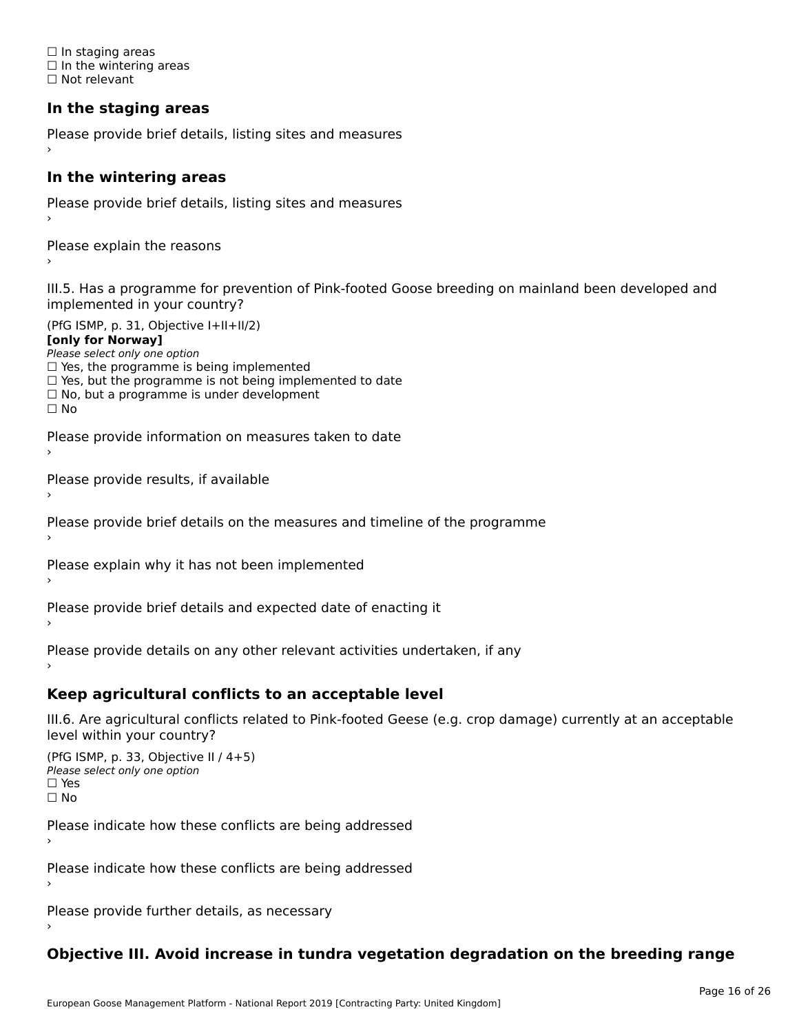☐ In staging areas □ in staging areas<br>□ In the wintering areas ☐ Not relevant

# **In the staging areas**

```
Please provide brief details, listing sites and measures ›
```
#### **In the wintering areas**

Please provide brief details, listing sites and measures ›

Please explain the reasons

III.5. Has a programme for prevention of Pink-footed Goose breeding on mainland been developed and implemented in your country?

(PfG ISMP, p. 31, Objective I+II+II/2)

**[only for Norway]**

Please select only one option riease select only one option<br>□ Yes, the programme is being implemented

 $\Box$  ies, the programme is being implemented to date  $\Box$  Yes, but the programme is not being implemented to date

 $\Box$  No, but a programme is under development

Please provide information on measures taken to date

Please provide results, if available

Please provide brief details on the measures and timeline of the programme

Please explain why it has not been implemented

Please provide brief details and expected date of enacting it

Please provide details on any other relevant activities undertaken, if any›

**Keep agricultural conflicts to an acceptable level**

III.6. Are agricultural conflicts related to Pink-footed Geese (e.g. crop damage) currently at an acceptable

```
(PfG ISMP, p. 33, Objective II (4+5))
Please select only one option
☐ Yes☐ No
```
Please indicate how these conflicts are being addressed

Please indicate how these conflicts are being addressed›

Please provide further details, as necessary ›

# **Objective III. Avoid increase in tundra vegetation degradation on the breeding range**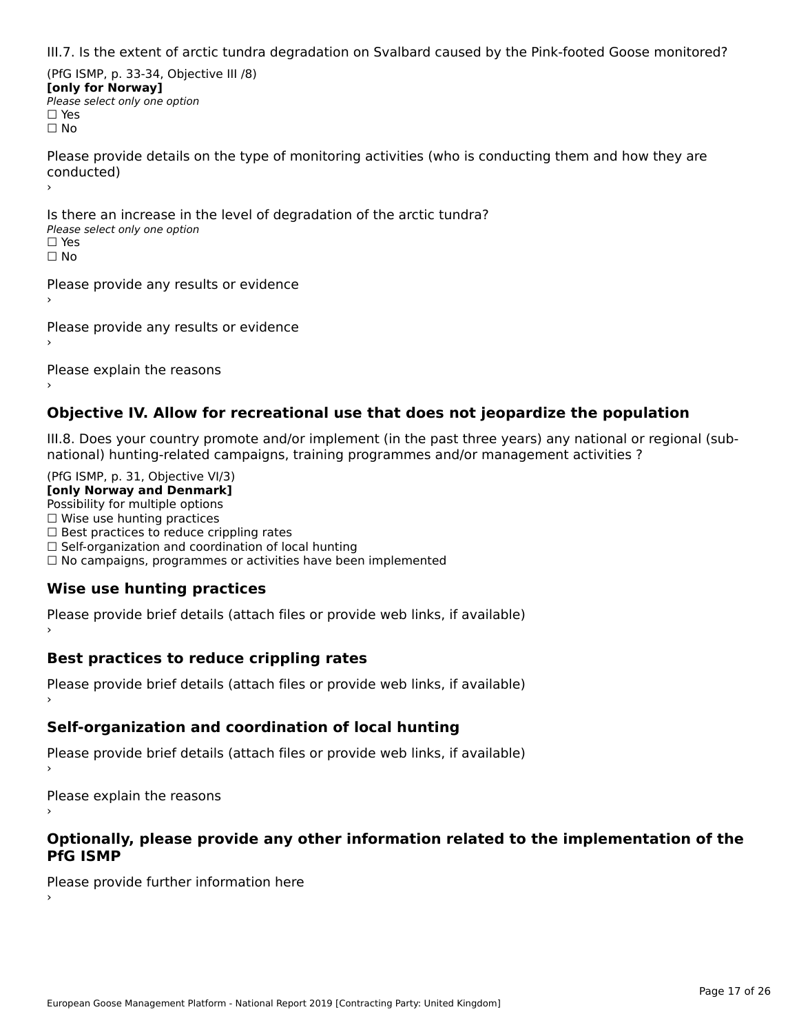III.7. Is the extent of arctic tundra degradation on Svalbard caused by the Pink-footed Goose monitored?

(PfG ISMP, p. 33-34, Objective III /8) **[only for Norway] Please select only one option** □ Yes<br>□ No

Please provide details on the type of monitoring activities (who is conducting them and how they are riease prov ›

Is there an increase in the level of degradation of the arctic tundra? □ CitCre dir increduce in c<br>Please select only one option □ Yes<br>□ No

Please provide any results or evidence

Please provide any results or evidence

Please explain the reasons

›

#### **Objective IV. Allow for recreational use that does not jeopardize the population**

III.8. Does your country promote and/or implement (in the past three years) any national or regional (sub $m.6.198$  your country promove and/or miplement (in the past time years) any national or

(PfG ISMP, p. 31, Objective VI/3) **[only Norway and Denmark]** Possibility for multiple options ☐ Wise use hunting practices  $\Box$  wise use numing practices<br> $\Box$  Best practices to reduce crippling rates □ Best practices to reduce crippinig rates<br>□ Self-organization and coordination of local hunting □ Sen-organization and coordination or local nunting<br>□ No campaigns, programmes or activities have been implemented

# **Wise use hunting practices**

Please provide brief details (attach files or provide web links, if available) ›

## **Best practices to reduce crippling rates**

Please provide brief details (attach files or provide web links, if available)

# **Self-organization and coordination of local hunting**

Please provide brief details (attach files or provide web links, if available)

Please explain the reasons

#### **Optionally, please provide any other information related to the implementation of the PfG ISMP**

Please provide further information here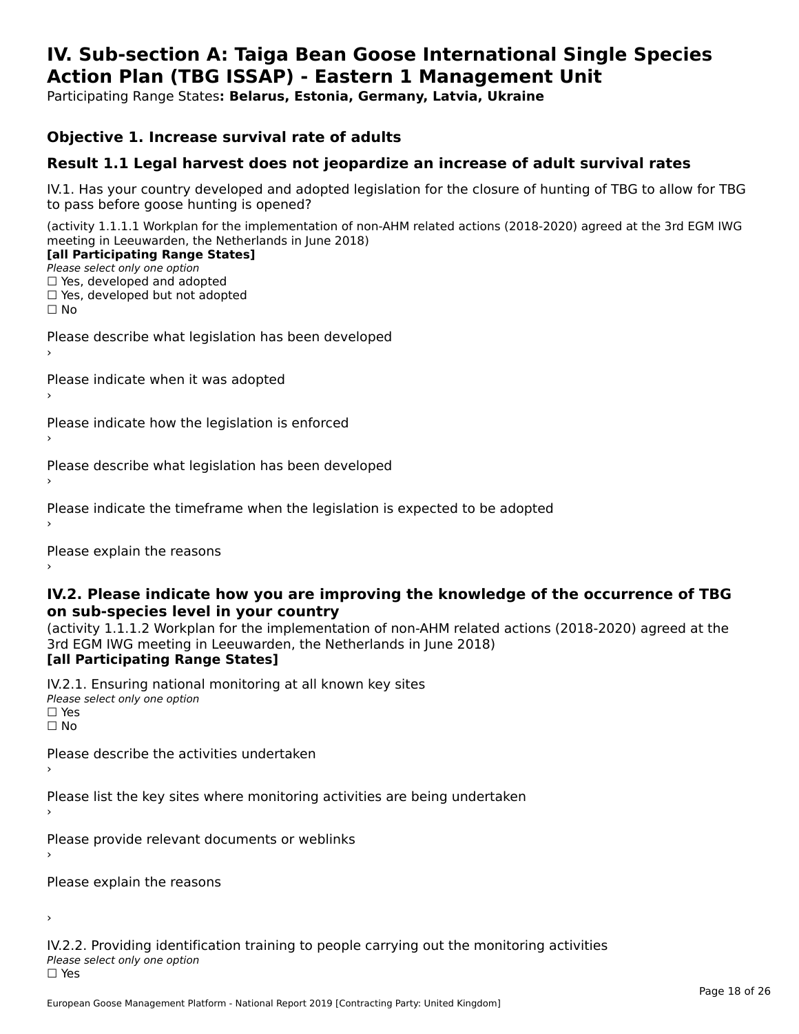#### **IV. Sub-section A: Taiga Bean Goose International Single Species Action Plan (TBG ISSAP) - Eastern 1 Management UnitAction Plan (TBG ISSAP) - Eastern 1 Management Unit**

Participating Range States**: Belarus, Estonia, Germany, Latvia, Ukraine** 

### **Objective 1. Increase survival rate of adults**

### **Result 1.1 Legal harvest does not jeopardize an increase of adult survival rates**

IV.1. Has your country developed and adopted legislation for the closure of hunting of TBG to allow for TBG IV.1. Thas your country developed and add<br>to pass before goose hunting is opened?

(activity 1.1.1.1 Workplan for the implementation of non-AHM related actions (2018-2020) agreed at the 3rd EGM IWG meeting in Leeuwarden, the Netherlands in June 2018) **[all Participating Range States]**

#### [all Participating Range States]

Please select only one option ☐ Yes, developed and adopted

☐ Yes, developed but not adopted

 $\Box$  ies, developed but not adopted

Please describe what legislation has been developed

Please indicate when it was adopted

Please indicate how the legislation is enforced

Please describe what legislation has been developed

Please indicate the timeframe when the legislation is expected to be adopted

Please explain the reasons

#### **IV.2. Please indicate how you are improving the knowledge of the occurrence of TBG on sub-species level in your country**on sub-species level in your country

on sub-species fever in your country<br>(activity 1.1.1.2 Workplan for the implementation of non-AHM related actions (2018-2020) agreed at the **Brd EGM IWG meeting in Leeuwarden, the Netherlands in June 2018)** 

#### [all Participating Range States]

IV.2.1. Ensuring national monitoring at all known key sites <del>■ Western Chroning</del> Hational<br>Please select only one option  $\Box$  Yes ☐ No

Please describe the activities undertaken

Please list the key sites where monitoring activities are being undertaken

Please provide relevant documents or weblinks

Please explain the reasons

›

IV.2.2. Providing identification training to people carrying out the monitoring activities <del>■ Western Fortung</del> Recrement<br>Please select only one option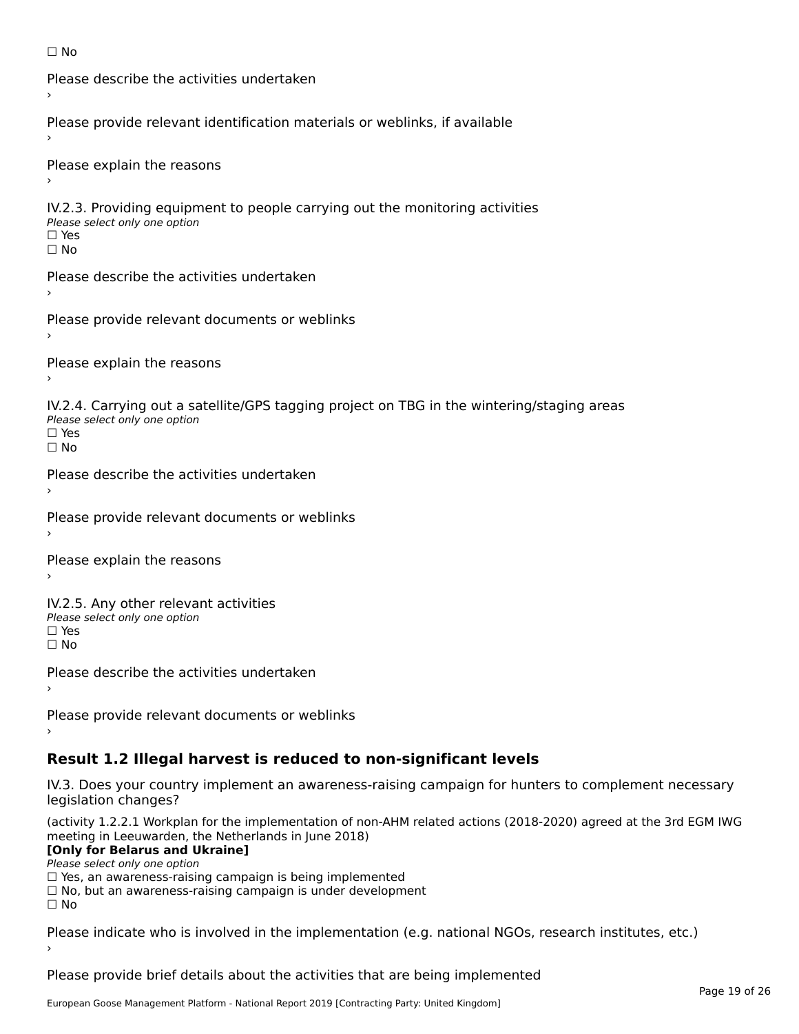```
☐ No
```

```
Please describe the activities undertaken›Please provide relevant identification materials or weblinks, if available
Please explain the reasons
IV.2.3. Providing equipment to people carrying out the monitoring activities
Please select only one option
☐ Yes□ Yes<br>□ No
Please describe the activities undertaken›Please provide relevant documents or weblinks
Please explain the reasons
IV.2.4. Carrying out a satellite/GPS tagging project on TBG in the wintering/staging areas
<del>∩</del><br>Please select only one option
□ Yes<br>□ No
Please describe the activities undertaken›Please provide relevant documents or weblinks
Please explain the reasons
IV.2.5. Any other relevant activities
Please select only one option
☐ Yes□ Yes<br>□ No
Please describe the activities undertaken›Please provide relevant documents or weblinks
Result 1.2 Illegal harvest is reduced to non-significant levels
```
IV.3. Does your country implement an awareness-raising campaign for hunters to complement necessary rv.5. Does your court<br>legislation changes?

(activity 1.2.2.1 Workplan for the implementation of non-AHM related actions (2018-2020) agreed at the 3rd EGM IWG meeting in Leeuwarden, the Netherlands in June 2018)

#### **[Only for Belarus and Ukraine]**

**LOTTLY TOT Detailed and O**<br>Please select only one option

riease select only one option<br>□ Yes, an awareness-raising campaign is being implemented<br>□ Yes, an awareness-raising campaign is under development

□ No, but an awareness-raising campaign is under development<br>□ N。

Please indicate who is involved in the implementation (e.g. national NGOs, research institutes, etc.)

Please provide brief details about the activities that are being implemented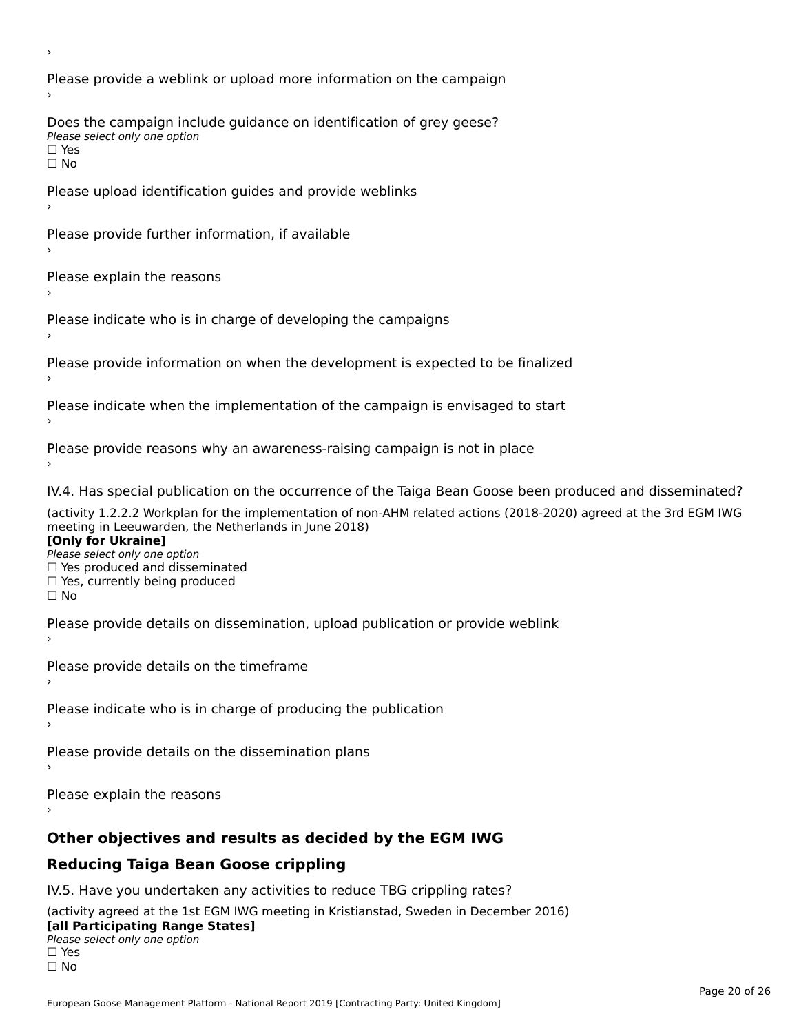Please provide a weblink or upload more information on the campaign Does the campaign include guidance on identification of grey geese? Please select only one option<br>□ Yes □ Yes<br>□ No Please upload identification guides and provide weblinks Please provide further information, if available Please explain the reasons Please indicate who is in charge of developing the campaigns Please provide information on when the development is expected to be finalized Please indicate when the implementation of the campaign is envisaged to start Please provide reasons why an awareness-raising campaign is not in place IV.4. Has special publication on the occurrence of the Taiga Bean Goose been produced and disseminated? (activity 1.2.2.2 Workplan for the implementation of non-AHM related actions (2018-2020) agreed at the 3rd EGM IWG **[Only for Ukraine] □ Yes produced and disseminated**<br>Please select only one option  $\Box$  ies produced and disseminated  $\Box$  ies, currently being produced Please provide details on dissemination, upload publication or provide weblink Please provide details on the timeframe Please indicate who is in charge of producing the publication Please provide details on the dissemination plans Please explain the reasons **Other objectives and results as decided by the EGM IWG Reducing Taiga Bean Goose crippling** IV.5. Have you undertaken any activities to reduce TBG crippling rates? (activity agreed at the 1st EGM IWG meeting in Kristianstad, Sweden in December 2016)

#### **[all Participating Range States]**[all Participating Range States]

**Lan T articipating Range**<br>Please select only one option

□ Yes<br>□ No

›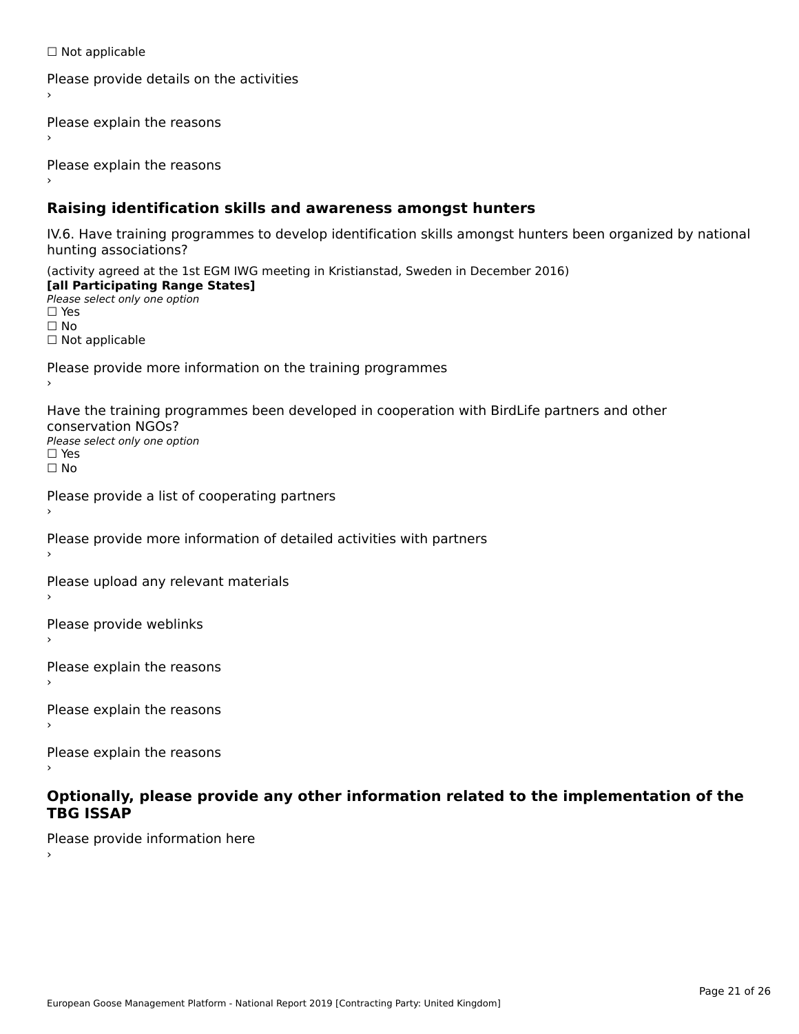☐ Not applicable

```
Please provide details on the activities
```
Please explain the reasons

Please explain the reasons

### **Raising identification skills and awareness amongst hunters**

IV.6. Have training programmes to develop identification skills amongst hunters been organized by national rv.o. riave training pro<br>hunting associations?

(activity agreed at the 1st EGM IWG meeting in Kristianstad, Sweden in December 2016) **[all Participating Range States]**[all Participating Range States] **Lan Tarticipating Range**<br>Please select only one option ☐ Yes☐ No□ Not applicable

Please provide more information on the training programmes

Have the training programmes been developed in cooperation with BirdLife partners and other conservation NGOs?Please select only one option☐ Yes☐ No

```
Please provide a list of cooperating partners
```
Please provide more information of detailed activities with partners

Please upload any relevant materials

Please provide weblinks

Please explain the reasons

Please explain the reasons›

Please explain the reasons

#### **Optionally, please provide any other information related to the implementation of the TBG ISSAPTBG ISSAP**

Please provide information here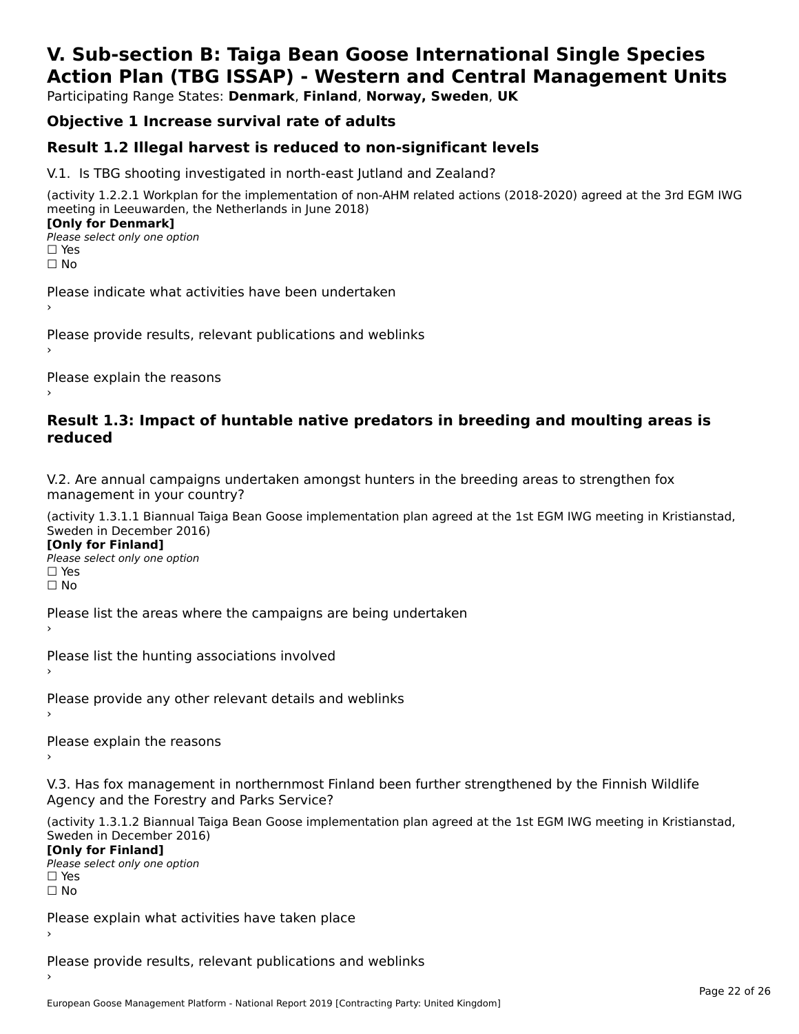# **V. Sub-section B: Taiga Bean Goose International Single SpeciesAction Plan (TBG ISSAP) - Western and Central Management Units**

Participating Range States: **Denmark**, **Finland**, **Norway, Sweden**, **UK**

# **Objective 1 Increase survival rate of adults**

## **Result 1.2 Illegal harvest is reduced to non-significant levels**

V.1. Is TBG shooting investigated in north-east Jutland and Zealand?

(activity 1.2.2.1 Workplan for the implementation of non-AHM related actions (2018-2020) agreed at the 3rd EGM IWG meeting in Leeuwarden, the Netherlands in June 2018) **[Only for Denmark] LOTTLY TOT DETITIONS**<br>Please select only one option

*riease*<br>□ Yes<br>□ No

Please indicate what activities have been undertaken›

Please provide results, relevant publications and weblinks ›

Please explain the reasons

#### **Result 1.3: Impact of huntable native predators in breeding and moulting areas is reduced**

V.2. Are annual campaigns undertaken amongst hunters in the breeding areas to strengthen fox v.z. Are annual campaigns und<br>management in your country?

(activity 1.3.1.1 Biannual Taiga Bean Goose implementation plan agreed at the 1st EGM IWG meeting in Kristianstad, Sweden in December 2016)

**[Only for Finland]** Please select only one optionriease<br>□ Yes □ Yes<br>□ No

Please list the areas where the campaigns are being undertaken

Please list the hunting associations involved

Please provide any other relevant details and weblinks ›

Please explain the reasons›

V.3. Has fox management in northernmost Finland been further strengthened by the Finnish Wildlife v.5. Has fox management in northernmost F<br>Agency and the Forestry and Parks Service?

(activity 1.3.1.2 Biannual Taiga Bean Goose implementation plan agreed at the 1st EGM IWG meeting in Kristianstad, Sweden in December 2016) Sweden in December 2016)

[Only for Finland]

**Please select only one option** □ Yes<br>□ No

Please explain what activities have taken place

Please provide results, relevant publications and weblinks ›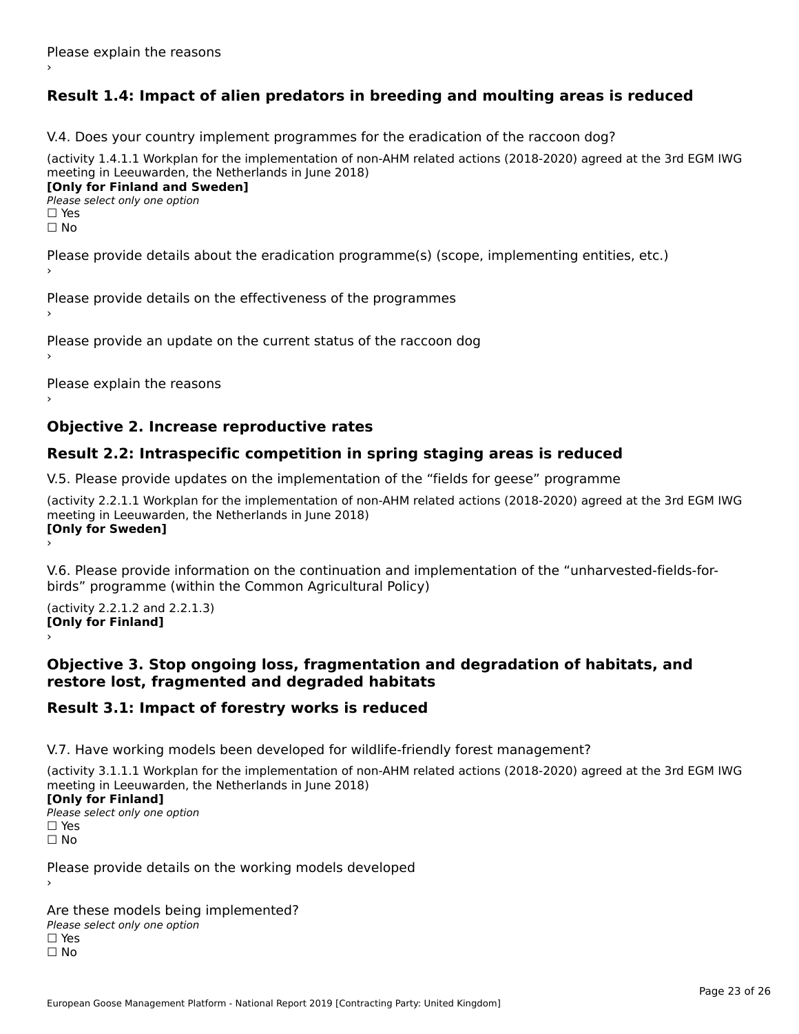# **Result 1.4: Impact of alien predators in breeding and moulting areas is reduced**

V.4. Does your country implement programmes for the eradication of the raccoon dog?

(activity 1.4.1.1 Workplan for the implementation of non-AHM related actions (2018-2020) agreed at the 3rd EGM IWG meeting in Leeuwarden, the Netherlands in June 2018) **[Only for Finland and Sweden]**

**Please select only one option** 

□ Yes<br>□ No

Please provide details about the eradication programme(s) (scope, implementing entities, etc.)

Please provide details on the effectiveness of the programmes

Please provide an update on the current status of the raccoon dog

Please explain the reasons

### **Objective 2. Increase reproductive rates**

### **Result 2.2: Intraspecific competition in spring staging areas is reduced**

V.5. Please provide updates on the implementation of the "fields for geese" programme

(activity 2.2.1.1 Workplan for the implementation of non-AHM related actions (2018-2020) agreed at the 3rd EGM IWG meeting in Leeuwarden, the Netherlands in June 2018) **[Only for Sweden]**Loury for Swedent

V.6. Please provide information on the continuation and implementation of the "unharvested-fields-forbirds" programme (within the Common Agricultural Policy)birds" programme (within the Common Agricultural Policy)

(activity 2.2.1.2 and 2.2.1.3) **[Only for Finland]** ›

#### **Objective 3. Stop ongoing loss, fragmentation and degradation of habitats, and restore lost, fragmented and degraded habitats**

### **Result 3.1: Impact of forestry works is reduced**

V.7. Have working models been developed for wildlife-friendly forest management?

(activity 3.1.1.1 Workplan for the implementation of non-AHM related actions (2018-2020) agreed at the 3rd EGM IWG meeting in Leeuwarden, the Netherlands in June 2018)

#### **[Only for Finland]**

**Please select only one option** □ Yes<br>□ No

Please provide details on the working models developed

Are these models being implemented? ∩ne enese moders being<br>Please select only one option □ Yes<br>□ No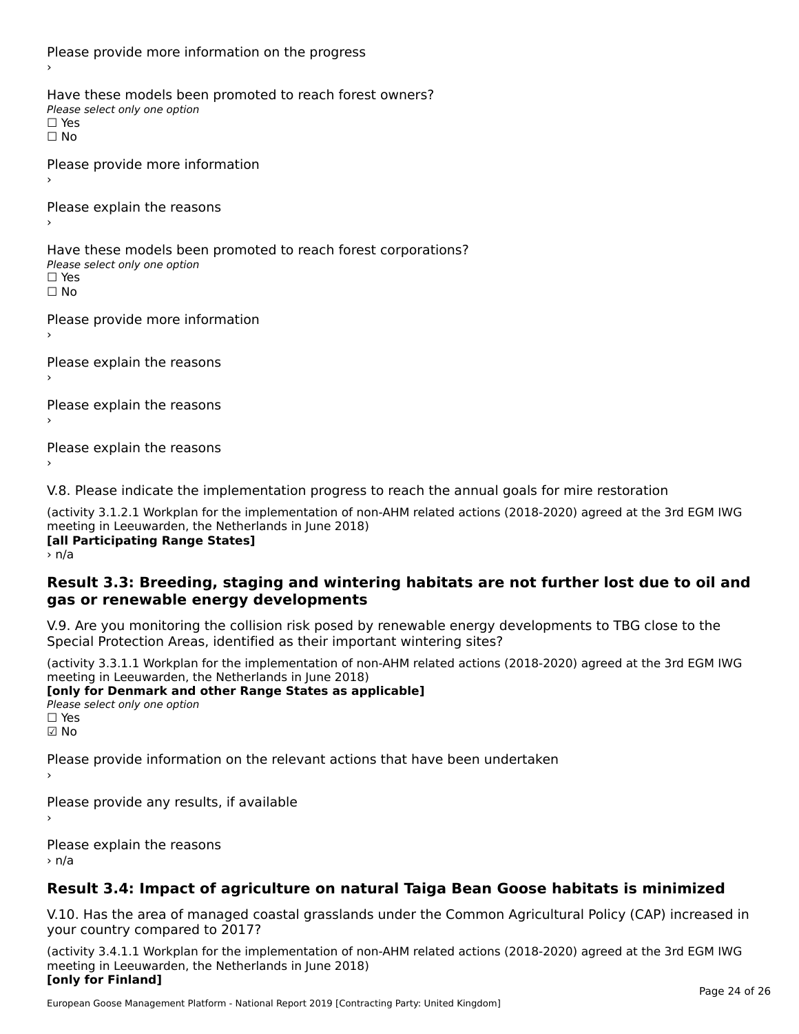Please provide more information on the progress Have these models been promoted to reach forest owners? ∩ave these models bee<br>Please select only one option □ Yes<br>□ No Please provide more information Please explain the reasons ›Have these models been promoted to reach forest corporations? ∩ave these models bee<br>Please select only one option □ Yes<br>□ No Please provide more information Please explain the reasons ›Please explain the reasons›Please explain the reasons›

V.8. Please indicate the implementation progress to reach the annual goals for mire restoration

(activity 3.1.2.1 Workplan for the implementation of non-AHM related actions (2018-2020) agreed at the 3rd EGM IWG meeting in Leeuwarden, the Netherlands in June 2018) **Inceding In Leeuwarden, the Nether**<br>[all Participating Range States]

> n/a

#### **Result 3.3: Breeding, staging and wintering habitats are not further lost due to oil and gas or renewable energy developments**gas or renewable energy developments

V.9. Are you monitoring the collision risk posed by renewable energy developments to TBG close to the Special Protection Areas, identified as their important wintering sites?

(activity 3.3.1.1 Workplan for the implementation of non-AHM related actions (2018-2020) agreed at the 3rd EGM IWG meeting in Leeuwarden, the Netherlands in June 2018) **[only for Denmark and other Range States as applicable]**

```
Please select only one option
☑ No
```
Please provide information on the relevant actions that have been undertaken ›

Please provide any results, if available

Please explain the reasons › n/a

# **Result 3.4: Impact of agriculture on natural Taiga Bean Goose habitats is minimized**

V.10. Has the area of managed coastal grasslands under the Common Agricultural Policy (CAP) increased in

(activity 3.4.1.1 Workplan for the implementation of non-AHM related actions (2018-2020) agreed at the 3rd EGM IWG meeting in Leeuwarden, the Netherlands in June 2018) **[only for Finland]**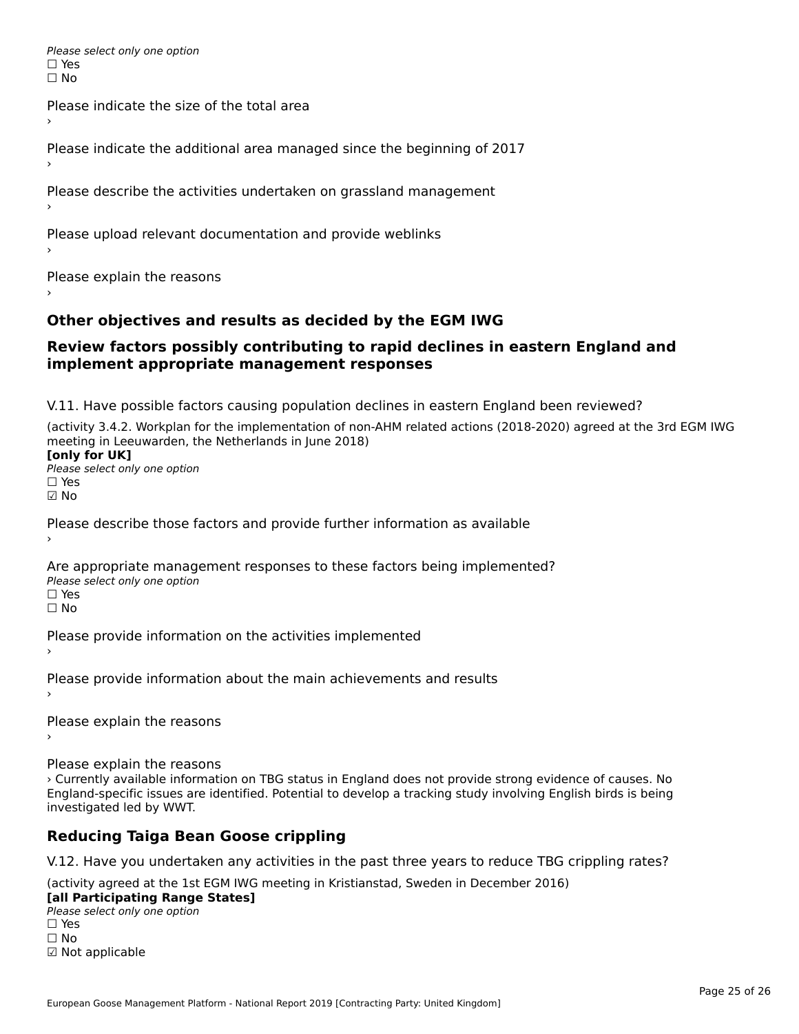Please select only one option □ Yes<br>□ No

Please indicate the size of the total area›

Please indicate the additional area managed since the beginning of 2017

Please describe the activities undertaken on grassland management

Please upload relevant documentation and provide weblinks

Please explain the reasons

### **Other objectives and results as decided by the EGM IWG**

#### **Review factors possibly contributing to rapid declines in eastern England and implement appropriate management responses**implement appropriate management responses

V.11. Have possible factors causing population declines in eastern England been reviewed?

(activity 3.4.2. Workplan for the implementation of non-AHM related actions (2018-2020) agreed at the 3rd EGM IWG meeting in Leeuwarden, the Netherlands in June 2018)<br>**[only for UK]** 

Please select only one option☐ Yes☑ No

Please describe those factors and provide further information as available

Are appropriate management responses to these factors being implemented? ric appropriace manage<br>Please select only one option ☐ Yesים<br>⊡ No

Please provide information on the activities implemented

Please provide information about the main achievements and results

Please explain the reasons

Please explain the reasons

› Currently available information on TBG status in England does not provide strong evidence of causes. No England-specific issues are identified. Potential to develop a tracking study involving English birds is being investigated led by WWT.

# **Reducing Taiga Bean Goose crippling**

V.12. Have you undertaken any activities in the past three years to reduce TBG crippling rates?

(activity agreed at the 1st EGM IWG meeting in Kristianstad, Sweden in December 2016)

#### **[all Participating Range States]**

**Lan Farticipating Range**<br>Please select only one option ☐ Yes☐ No☑ Not applicable